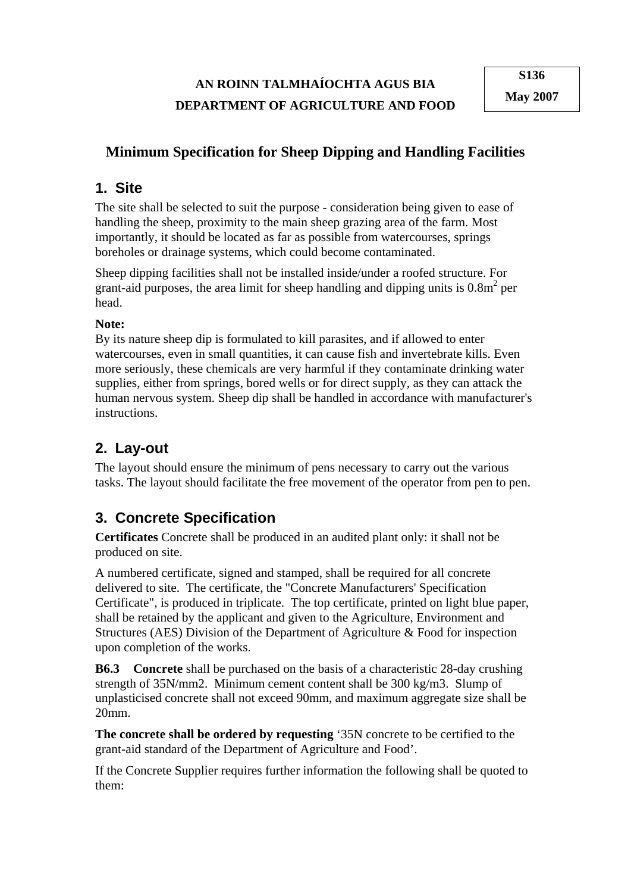### **AN ROINN TALMHAÍOCHTA AGUS BIA DEPARTMENT OF AGRICULTURE AND FOOD**

#### **Minimum Specification for Sheep Dipping and Handling Facilities**

#### **1. Site**

The site shall be selected to suit the purpose - consideration being given to ease of handling the sheep, proximity to the main sheep grazing area of the farm. Most importantly, it should be located as far as possible from watercourses, springs boreholes or drainage systems, which could become contaminated.

Sheep dipping facilities shall not be installed inside/under a roofed structure. For grant-aid purposes, the area limit for sheep handling and dipping units is  $0.8m<sup>2</sup>$  per head.

#### **Note:**

By its nature sheep dip is formulated to kill parasites, and if allowed to enter watercourses, even in small quantities, it can cause fish and invertebrate kills. Even more seriously, these chemicals are very harmful if they contaminate drinking water supplies, either from springs, bored wells or for direct supply, as they can attack the human nervous system. Sheep dip shall be handled in accordance with manufacturer's instructions.

# **2. Lay-out**

The layout should ensure the minimum of pens necessary to carry out the various tasks. The layout should facilitate the free movement of the operator from pen to pen.

### **3. Concrete Specification**

**Certificates** Concrete shall be produced in an audited plant only: it shall not be produced on site.

A numbered certificate, signed and stamped, shall be required for all concrete delivered to site. The certificate, the "Concrete Manufacturers' Specification Certificate", is produced in triplicate. The top certificate, printed on light blue paper, shall be retained by the applicant and given to the Agriculture, Environment and Structures (AES) Division of the Department of Agriculture & Food for inspection upon completion of the works.

**B6.3 Concrete** shall be purchased on the basis of a characteristic 28-day crushing strength of 35N/mm2. Minimum cement content shall be 300 kg/m3. Slump of unplasticised concrete shall not exceed 90mm, and maximum aggregate size shall be 20mm.

**The concrete shall be ordered by requesting** '35N concrete to be certified to the grant-aid standard of the Department of Agriculture and Food'.

If the Concrete Supplier requires further information the following shall be quoted to them: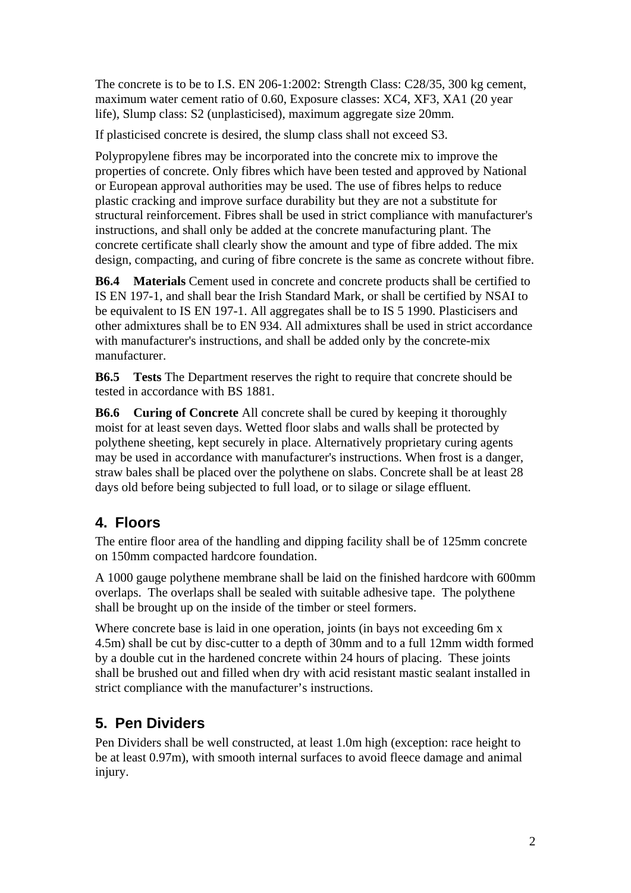The concrete is to be to I.S. EN 206-1:2002: Strength Class: C28/35, 300 kg cement, maximum water cement ratio of 0.60, Exposure classes: XC4, XF3, XA1 (20 year life), Slump class: S2 (unplasticised), maximum aggregate size 20mm.

If plasticised concrete is desired, the slump class shall not exceed S3.

Polypropylene fibres may be incorporated into the concrete mix to improve the properties of concrete. Only fibres which have been tested and approved by National or European approval authorities may be used. The use of fibres helps to reduce plastic cracking and improve surface durability but they are not a substitute for structural reinforcement. Fibres shall be used in strict compliance with manufacturer's instructions, and shall only be added at the concrete manufacturing plant. The concrete certificate shall clearly show the amount and type of fibre added. The mix design, compacting, and curing of fibre concrete is the same as concrete without fibre.

**B6.4 Materials** Cement used in concrete and concrete products shall be certified to IS EN 197-1, and shall bear the Irish Standard Mark, or shall be certified by NSAI to be equivalent to IS EN 197-1. All aggregates shall be to IS 5 1990. Plasticisers and other admixtures shall be to EN 934. All admixtures shall be used in strict accordance with manufacturer's instructions, and shall be added only by the concrete-mix manufacturer.

**B6.5 Tests** The Department reserves the right to require that concrete should be tested in accordance with BS 1881.

**B6.6 Curing of Concrete** All concrete shall be cured by keeping it thoroughly moist for at least seven days. Wetted floor slabs and walls shall be protected by polythene sheeting, kept securely in place. Alternatively proprietary curing agents may be used in accordance with manufacturer's instructions. When frost is a danger, straw bales shall be placed over the polythene on slabs. Concrete shall be at least 28 days old before being subjected to full load, or to silage or silage effluent.

### **4. Floors**

The entire floor area of the handling and dipping facility shall be of 125mm concrete on 150mm compacted hardcore foundation.

A 1000 gauge polythene membrane shall be laid on the finished hardcore with 600mm overlaps. The overlaps shall be sealed with suitable adhesive tape. The polythene shall be brought up on the inside of the timber or steel formers.

Where concrete base is laid in one operation, joints (in bays not exceeding 6m x 4.5m) shall be cut by disc-cutter to a depth of 30mm and to a full 12mm width formed by a double cut in the hardened concrete within 24 hours of placing. These joints shall be brushed out and filled when dry with acid resistant mastic sealant installed in strict compliance with the manufacturer's instructions.

# **5. Pen Dividers**

Pen Dividers shall be well constructed, at least 1.0m high (exception: race height to be at least 0.97m), with smooth internal surfaces to avoid fleece damage and animal injury.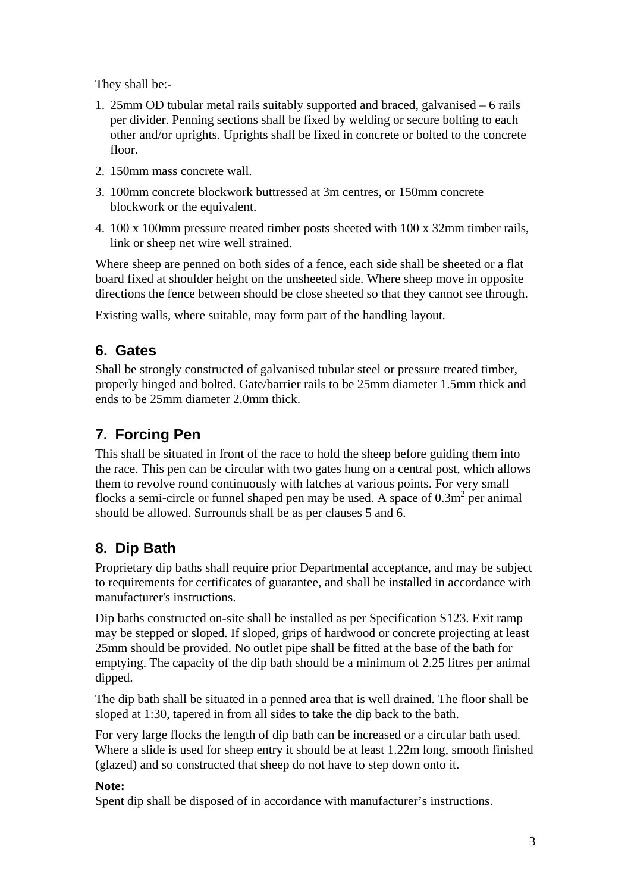They shall be:-

- 1. 25mm OD tubular metal rails suitably supported and braced, galvanised 6 rails per divider. Penning sections shall be fixed by welding or secure bolting to each other and/or uprights. Uprights shall be fixed in concrete or bolted to the concrete floor.
- 2. 150mm mass concrete wall.
- 3. 100mm concrete blockwork buttressed at 3m centres, or 150mm concrete blockwork or the equivalent.
- 4. 100 x 100mm pressure treated timber posts sheeted with 100 x 32mm timber rails, link or sheep net wire well strained.

Where sheep are penned on both sides of a fence, each side shall be sheeted or a flat board fixed at shoulder height on the unsheeted side. Where sheep move in opposite directions the fence between should be close sheeted so that they cannot see through.

Existing walls, where suitable, may form part of the handling layout.

### **6. Gates**

Shall be strongly constructed of galvanised tubular steel or pressure treated timber, properly hinged and bolted. Gate/barrier rails to be 25mm diameter 1.5mm thick and ends to be 25mm diameter 2.0mm thick.

# **7. Forcing Pen**

This shall be situated in front of the race to hold the sheep before guiding them into the race. This pen can be circular with two gates hung on a central post, which allows them to revolve round continuously with latches at various points. For very small flocks a semi-circle or funnel shaped pen may be used. A space of  $0.3m<sup>2</sup>$  per animal should be allowed. Surrounds shall be as per clauses 5 and 6.

# **8. Dip Bath**

Proprietary dip baths shall require prior Departmental acceptance, and may be subject to requirements for certificates of guarantee, and shall be installed in accordance with manufacturer's instructions.

Dip baths constructed on-site shall be installed as per Specification S123. Exit ramp may be stepped or sloped. If sloped, grips of hardwood or concrete projecting at least 25mm should be provided. No outlet pipe shall be fitted at the base of the bath for emptying. The capacity of the dip bath should be a minimum of 2.25 litres per animal dipped.

The dip bath shall be situated in a penned area that is well drained. The floor shall be sloped at 1:30, tapered in from all sides to take the dip back to the bath.

For very large flocks the length of dip bath can be increased or a circular bath used. Where a slide is used for sheep entry it should be at least 1.22m long, smooth finished (glazed) and so constructed that sheep do not have to step down onto it.

#### **Note:**

Spent dip shall be disposed of in accordance with manufacturer's instructions.